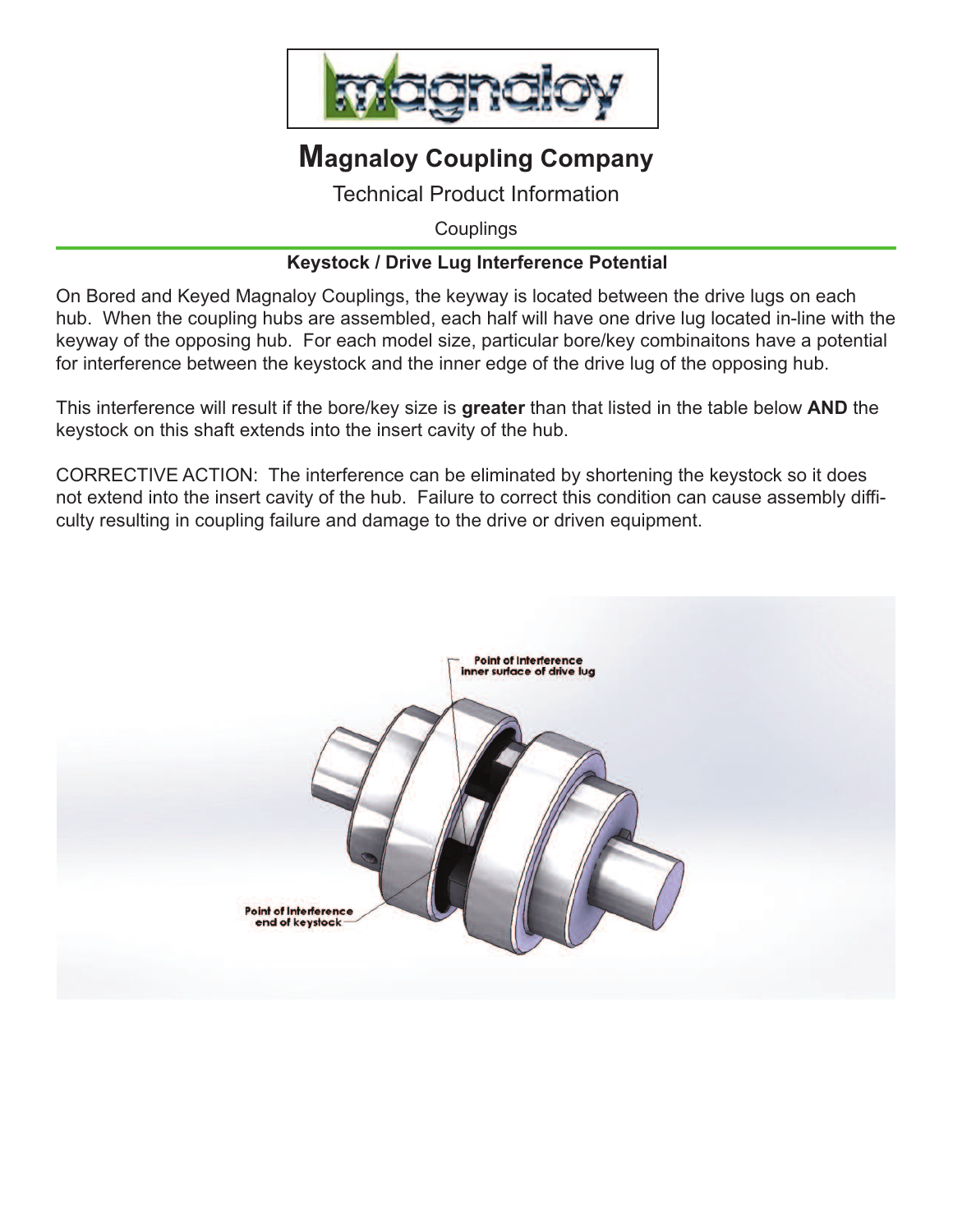

## **Magnaloy Coupling Company**

Technical Product Information

**Couplings** 

## **Keystock / Drive Lug Interference Potential**

On Bored and Keyed Magnaloy Couplings, the keyway is located between the drive lugs on each hub. When the coupling hubs are assembled, each half will have one drive lug located in-line with the keyway of the opposing hub. For each model size, particular bore/key combinaitons have a potential for interference between the keystock and the inner edge of the drive lug of the opposing hub.

This interference will result if the bore/key size is **greater** than that listed in the table below **AND** the keystock on this shaft extends into the insert cavity of the hub.

CORRECTIVE ACTION: The interference can be eliminated by shortening the keystock so it does not extend into the insert cavity of the hub. Failure to correct this condition can cause assembly difficulty resulting in coupling failure and damage to the drive or driven equipment.